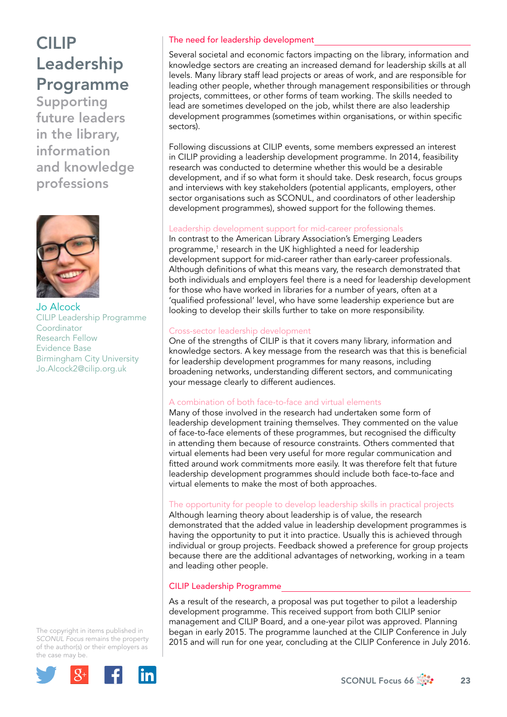# CILIP Leadership Programme

Supporting future leaders in the library, information and knowledge professions



Jo Alcock CILIP Leadership Programme Coordinator Research Fellow Evidence Base Birmingham City University [Jo.Alcock2@cilip.org.uk](mailto:Jo.Alcock2@cilip.org.uk)

The copyright in items published in *SCONUL Focus* remains the property of the author(s) or their employers as the case may be.



## The need for leadership development

Several societal and economic factors impacting on the library, information and knowledge sectors are creating an increased demand for leadership skills at all levels. Many library staff lead projects or areas of work, and are responsible for leading other people, whether through management responsibilities or through projects, committees, or other forms of team working. The skills needed to lead are sometimes developed on the job, whilst there are also leadership development programmes (sometimes within organisations, or within specific sectors).

Following discussions at CILIP events, some members expressed an interest in CILIP providing a leadership development programme. In 2014, feasibility research was conducted to determine whether this would be a desirable development, and if so what form it should take. Desk research, focus groups and interviews with key stakeholders (potential applicants, employers, other sector organisations such as SCONUL, and coordinators of other leadership development programmes), showed support for the following themes.

## Leadership development support for mid-career professionals

In contrast to the American Library Association's Emerging Leaders programme,<sup>1</sup> research in the UK highlighted a need for leadership development support for mid-career rather than early-career professionals. Although definitions of what this means vary, the research demonstrated that both individuals and employers feel there is a need for leadership development for those who have worked in libraries for a number of years, often at a 'qualified professional' level, who have some leadership experience but are looking to develop their skills further to take on more responsibility.

## Cross-sector leadership development

One of the strengths of CILIP is that it covers many library, information and knowledge sectors. A key message from the research was that this is beneficial for leadership development programmes for many reasons, including broadening networks, understanding different sectors, and communicating your message clearly to different audiences.

## A combination of both face-to-face and virtual elements

Many of those involved in the research had undertaken some form of leadership development training themselves. They commented on the value of face-to-face elements of these programmes, but recognised the difficulty in attending them because of resource constraints. Others commented that virtual elements had been very useful for more regular communication and fitted around work commitments more easily. It was therefore felt that future leadership development programmes should include both face-to-face and virtual elements to make the most of both approaches.

## The opportunity for people to develop leadership skills in practical projects

Although learning theory about leadership is of value, the research demonstrated that the added value in leadership development programmes is having the opportunity to put it into practice. Usually this is achieved through individual or group projects. Feedback showed a preference for group projects because there are the additional advantages of networking, working in a team and leading other people.

## CILIP Leadership Programme

As a result of the research, a proposal was put together to pilot a leadership development programme. This received support from both CILIP senior management and CILIP Board, and a one-year pilot was approved. Planning began in early 2015. The programme launched at the CILIP Conference in July 2015 and will run for one year, concluding at the CILIP Conference in July 2016.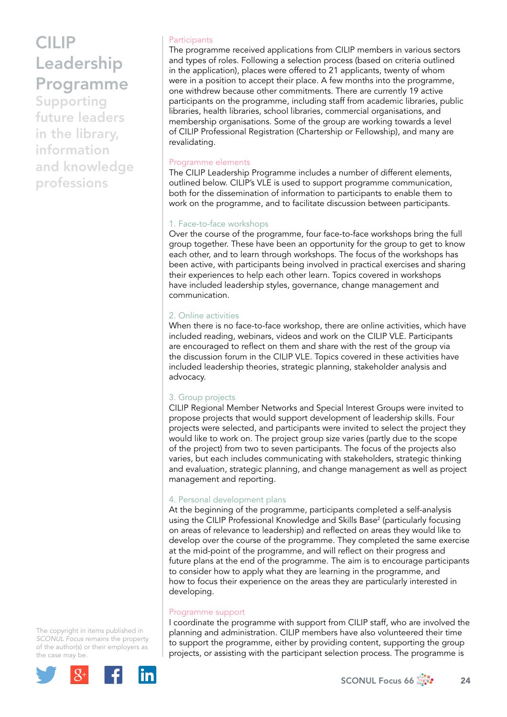# CILIP Leadership Programme

Supporting future leaders in the library, information and knowledge professions

#### **Participants**

The programme received applications from CILIP members in various sectors and types of roles. Following a selection process (based on criteria outlined in the application), places were offered to 21 applicants, twenty of whom were in a position to accept their place. A few months into the programme, one withdrew because other commitments. There are currently 19 active participants on the programme, including staff from academic libraries, public libraries, health libraries, school libraries, commercial organisations, and membership organisations. Some of the group are working towards a level of CILIP Professional Registration (Chartership or Fellowship), and many are revalidating.

## Programme elements

The CILIP Leadership Programme includes a number of different elements, outlined below. CILIP's VLE is used to support programme communication, both for the dissemination of information to participants to enable them to work on the programme, and to facilitate discussion between participants.

## 1. Face-to-face workshops

Over the course of the programme, four face-to-face workshops bring the full group together. These have been an opportunity for the group to get to know each other, and to learn through workshops. The focus of the workshops has been active, with participants being involved in practical exercises and sharing their experiences to help each other learn. Topics covered in workshops have included leadership styles, governance, change management and communication.

## 2. Online activities

When there is no face-to-face workshop, there are online activities, which have included reading, webinars, videos and work on the CILIP VLE. Participants are encouraged to reflect on them and share with the rest of the group via the discussion forum in the CILIP VLE. Topics covered in these activities have included leadership theories, strategic planning, stakeholder analysis and advocacy.

## 3. Group projects

CILIP Regional Member Networks and Special Interest Groups were invited to propose projects that would support development of leadership skills. Four projects were selected, and participants were invited to select the project they would like to work on. The project group size varies (partly due to the scope of the project) from two to seven participants. The focus of the projects also varies, but each includes communicating with stakeholders, strategic thinking and evaluation, strategic planning, and change management as well as project management and reporting.

## 4. Personal development plans

At the beginning of the programme, participants completed a self-analysis using the CILIP Professional Knowledge and Skills Base2 (particularly focusing on areas of relevance to leadership) and reflected on areas they would like to develop over the course of the programme. They completed the same exercise at the mid-point of the programme, and will reflect on their progress and future plans at the end of the programme. The aim is to encourage participants to consider how to apply what they are learning in the programme, and how to focus their experience on the areas they are particularly interested in developing.

## Programme support

I coordinate the programme with support from CILIP staff, who are involved the planning and administration. CILIP members have also volunteered their time to support the programme, either by providing content, supporting the group projects, or assisting with the participant selection process. The programme is

The copyright in items published in *SCONUL Focus* remains the property of the author(s) or their employers as the case may be.